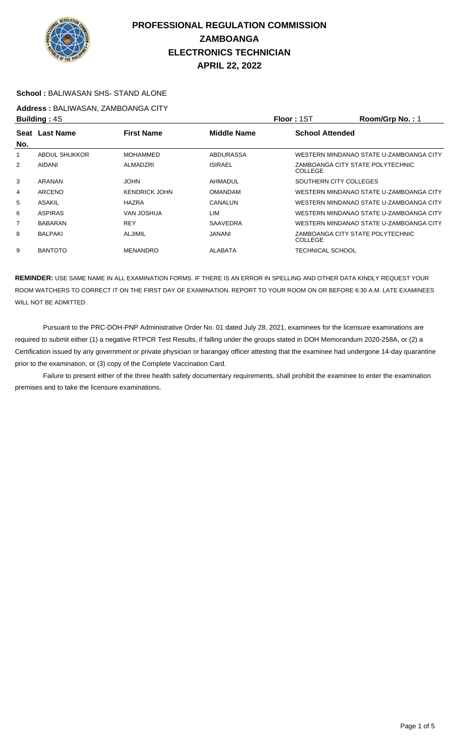

### **School :** BALIWASAN SHS- STAND ALONE

**Address :** BALIWASAN, ZAMBOANGA CITY

| <b>Building: 4S</b> |                                                           |                      |                 | Floor: 1ST             | Room/Grp No.: 1                         |
|---------------------|-----------------------------------------------------------|----------------------|-----------------|------------------------|-----------------------------------------|
|                     | <b>First Name</b><br><b>Middle Name</b><br>Seat Last Name |                      |                 | <b>School Attended</b> |                                         |
| No.                 |                                                           |                      |                 |                        |                                         |
|                     | <b>ABDUL SHUKKOR</b>                                      | <b>MOHAMMED</b>      | ABDURASSA       |                        | WESTERN MINDANAO STATE U-ZAMBOANGA CITY |
| 2                   | AIDANI                                                    | ALMADZRI             | <b>ISIRAEL</b>  | COLLEGE                | ZAMBOANGA CITY STATE POLYTECHNIC        |
| 3                   | ARANAN                                                    | <b>JOHN</b>          | AHMADUL         |                        | SOUTHERN CITY COLLEGES                  |
| 4                   | ARCENO                                                    | <b>KENDRICK JOHN</b> | <b>OMANDAM</b>  |                        | WESTERN MINDANAO STATE U-ZAMBOANGA CITY |
| 5                   | <b>ASAKIL</b>                                             | <b>HAZRA</b>         | CANALUN         |                        | WESTERN MINDANAO STATE U-ZAMBOANGA CITY |
| 6                   | <b>ASPIRAS</b>                                            | VAN JOSHUA           | LIM             |                        | WESTERN MINDANAO STATE U-ZAMBOANGA CITY |
| $\overline{7}$      | <b>BABARAN</b>                                            | <b>REY</b>           | <b>SAAVEDRA</b> |                        | WESTERN MINDANAO STATE U-ZAMBOANGA CITY |
| 8                   | <b>BALPAKI</b>                                            | <b>ALJIMIL</b>       | JANANI          | COLLEGE                | ZAMBOANGA CITY STATE POLYTECHNIC        |
| 9                   | <b>BANTOTO</b>                                            | <b>MENANDRO</b>      | <b>ALABATA</b>  | TECHNICAL SCHOOL       |                                         |

**REMINDER:** USE SAME NAME IN ALL EXAMINATION FORMS. IF THERE IS AN ERROR IN SPELLING AND OTHER DATA KINDLY REQUEST YOUR ROOM WATCHERS TO CORRECT IT ON THE FIRST DAY OF EXAMINATION. REPORT TO YOUR ROOM ON OR BEFORE 6:30 A.M. LATE EXAMINEES WILL NOT BE ADMITTED.

 Pursuant to the PRC-DOH-PNP Administrative Order No. 01 dated July 28, 2021, examinees for the licensure examinations are required to submit either (1) a negative RTPCR Test Results, if falling under the groups stated in DOH Memorandum 2020-258A, or (2) a Certification issued by any government or private physician or barangay officer attesting that the examinee had undergone 14-day quarantine prior to the examination, or (3) copy of the Complete Vaccination Card.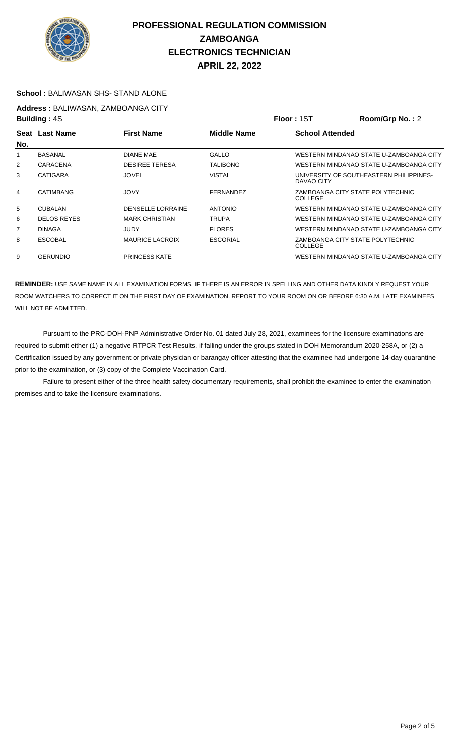

#### **School :** BALIWASAN SHS- STAND ALONE

**Address :** BALIWASAN, ZAMBOANGA CITY

| <b>Building: 4S</b> |                                                             |                          |                        | Floor: 1ST | Room/Grp No.: 2                         |
|---------------------|-------------------------------------------------------------|--------------------------|------------------------|------------|-----------------------------------------|
| Seat                | <b>Middle Name</b><br><b>Last Name</b><br><b>First Name</b> |                          | <b>School Attended</b> |            |                                         |
| No.                 |                                                             |                          |                        |            |                                         |
|                     | <b>BASANAL</b>                                              | <b>DIANE MAE</b>         | <b>GALLO</b>           |            | WESTERN MINDANAO STATE U-ZAMBOANGA CITY |
| 2                   | <b>CARACENA</b>                                             | <b>DESIREE TERESA</b>    | <b>TALIBONG</b>        |            | WESTERN MINDANAO STATE U-ZAMBOANGA CITY |
| 3                   | <b>CATIGARA</b>                                             | <b>JOVEL</b>             | VISTAL                 | DAVAO CITY | UNIVERSITY OF SOUTHEASTERN PHILIPPINES- |
| $\overline{4}$      | <b>CATIMBANG</b>                                            | <b>JOVY</b>              | <b>FERNANDEZ</b>       | COLLEGE    | ZAMBOANGA CITY STATE POLYTECHNIC        |
| 5                   | <b>CUBALAN</b>                                              | <b>DENSELLE LORRAINE</b> | <b>ANTONIO</b>         |            | WESTERN MINDANAO STATE U-ZAMBOANGA CITY |
| 6                   | <b>DELOS REYES</b>                                          | <b>MARK CHRISTIAN</b>    | <b>TRUPA</b>           |            | WESTERN MINDANAO STATE U-ZAMBOANGA CITY |
| 7                   | <b>DINAGA</b>                                               | JUDY                     | <b>FLORES</b>          |            | WESTERN MINDANAO STATE U-ZAMBOANGA CITY |
| 8                   | <b>ESCOBAL</b>                                              | <b>MAURICE LACROIX</b>   | <b>ESCORIAL</b>        | COLLEGE    | ZAMBOANGA CITY STATE POLYTECHNIC        |
| 9                   | <b>GERUNDIO</b>                                             | <b>PRINCESS KATE</b>     |                        |            | WESTERN MINDANAO STATE U-ZAMBOANGA CITY |

**REMINDER:** USE SAME NAME IN ALL EXAMINATION FORMS. IF THERE IS AN ERROR IN SPELLING AND OTHER DATA KINDLY REQUEST YOUR ROOM WATCHERS TO CORRECT IT ON THE FIRST DAY OF EXAMINATION. REPORT TO YOUR ROOM ON OR BEFORE 6:30 A.M. LATE EXAMINEES WILL NOT BE ADMITTED.

 Pursuant to the PRC-DOH-PNP Administrative Order No. 01 dated July 28, 2021, examinees for the licensure examinations are required to submit either (1) a negative RTPCR Test Results, if falling under the groups stated in DOH Memorandum 2020-258A, or (2) a Certification issued by any government or private physician or barangay officer attesting that the examinee had undergone 14-day quarantine prior to the examination, or (3) copy of the Complete Vaccination Card.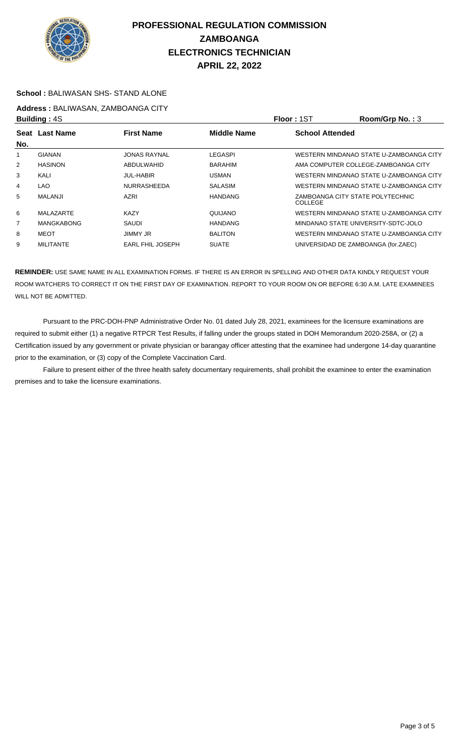

#### **School :** BALIWASAN SHS- STAND ALONE

**Address :** BALIWASAN, ZAMBOANGA CITY

| <b>Building: 4S</b> |                                                           |                         |                | Floor: 1ST             | Room/Grp No.: 3                         |  |
|---------------------|-----------------------------------------------------------|-------------------------|----------------|------------------------|-----------------------------------------|--|
|                     | Seat Last Name<br><b>First Name</b><br><b>Middle Name</b> |                         |                | <b>School Attended</b> |                                         |  |
| No.                 |                                                           |                         |                |                        |                                         |  |
| 1                   | <b>GIANAN</b>                                             | <b>JONAS RAYNAL</b>     | LEGASPI        |                        | WESTERN MINDANAO STATE U-ZAMBOANGA CITY |  |
| $\overline{2}$      | <b>HASINON</b>                                            | <b>ABDULWAHID</b>       | <b>BARAHIM</b> |                        | AMA COMPUTER COLLEGE-ZAMBOANGA CITY     |  |
| 3                   | KALI                                                      | <b>JUL-HABIR</b>        | <b>USMAN</b>   |                        | WESTERN MINDANAO STATE U-ZAMBOANGA CITY |  |
| 4                   | LAO                                                       | <b>NURRASHEEDA</b>      | <b>SALASIM</b> |                        | WESTERN MINDANAO STATE U-ZAMBOANGA CITY |  |
| 5                   | <b>MALANJI</b>                                            | <b>AZRI</b>             | <b>HANDANG</b> | <b>COLLEGE</b>         | ZAMBOANGA CITY STATE POLYTECHNIC        |  |
| 6                   | MALAZARTE                                                 | <b>KAZY</b>             | QUIJANO        |                        | WESTERN MINDANAO STATE U-ZAMBOANGA CITY |  |
| $\overline{7}$      | <b>MANGKABONG</b>                                         | SAUDI                   | <b>HANDANG</b> |                        | MINDANAO STATE UNIVERSITY-SDTC-JOLO     |  |
| 8                   | MEOT                                                      | <b>JIMMY JR</b>         | <b>BALITON</b> |                        | WESTERN MINDANAO STATE U-ZAMBOANGA CITY |  |
| 9                   | <b>MILITANTE</b>                                          | <b>EARL FHIL JOSEPH</b> | <b>SUATE</b>   |                        | UNIVERSIDAD DE ZAMBOANGA (for.ZAEC)     |  |

**REMINDER:** USE SAME NAME IN ALL EXAMINATION FORMS. IF THERE IS AN ERROR IN SPELLING AND OTHER DATA KINDLY REQUEST YOUR ROOM WATCHERS TO CORRECT IT ON THE FIRST DAY OF EXAMINATION. REPORT TO YOUR ROOM ON OR BEFORE 6:30 A.M. LATE EXAMINEES WILL NOT BE ADMITTED.

 Pursuant to the PRC-DOH-PNP Administrative Order No. 01 dated July 28, 2021, examinees for the licensure examinations are required to submit either (1) a negative RTPCR Test Results, if falling under the groups stated in DOH Memorandum 2020-258A, or (2) a Certification issued by any government or private physician or barangay officer attesting that the examinee had undergone 14-day quarantine prior to the examination, or (3) copy of the Complete Vaccination Card.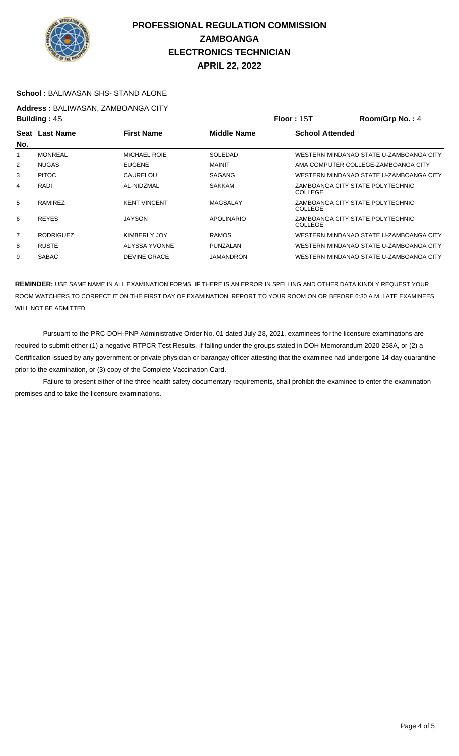

#### **School :** BALIWASAN SHS- STAND ALONE

**Address :** BALIWASAN, ZAMBOANGA CITY

| <b>Building: 4S</b> |                                                             |                     |                        | Floor: 1ST | Room/Grp No.: 4                         |
|---------------------|-------------------------------------------------------------|---------------------|------------------------|------------|-----------------------------------------|
| Seat                | <b>First Name</b><br><b>Middle Name</b><br><b>Last Name</b> |                     | <b>School Attended</b> |            |                                         |
| No.                 |                                                             |                     |                        |            |                                         |
|                     | <b>MONREAL</b>                                              | <b>MICHAEL ROIE</b> | SOLEDAD                |            | WESTERN MINDANAO STATE U-ZAMBOANGA CITY |
| 2                   | <b>NUGAS</b>                                                | <b>EUGENE</b>       | <b>MAINIT</b>          |            | AMA COMPUTER COLLEGE-ZAMBOANGA CITY     |
| 3                   | <b>PITOC</b>                                                | CAURELOU            | <b>SAGANG</b>          |            | WESTERN MINDANAO STATE U-ZAMBOANGA CITY |
| 4                   | RADI                                                        | AL-NIDZMAL          | <b>SAKKAM</b>          | COLLEGE    | ZAMBOANGA CITY STATE POLYTECHNIC        |
| 5                   | <b>RAMIREZ</b>                                              | <b>KENT VINCENT</b> | MAGSALAY               | COLLEGE    | ZAMBOANGA CITY STATE POLYTECHNIC        |
| 6                   | <b>REYES</b>                                                | <b>JAYSON</b>       | <b>APOLINARIO</b>      | COLLEGE    | ZAMBOANGA CITY STATE POLYTECHNIC        |
| $\overline{7}$      | <b>RODRIGUEZ</b>                                            | KIMBERLY JOY        | <b>RAMOS</b>           |            | WESTERN MINDANAO STATE U-ZAMBOANGA CITY |
| 8                   | <b>RUSTE</b>                                                | ALYSSA YVONNE       | PUNZALAN               |            | WESTERN MINDANAO STATE U-ZAMBOANGA CITY |
| 9                   | <b>SABAC</b>                                                | <b>DEVINE GRACE</b> | <b>JAMANDRON</b>       |            | WESTERN MINDANAO STATE U-ZAMBOANGA CITY |

**REMINDER:** USE SAME NAME IN ALL EXAMINATION FORMS. IF THERE IS AN ERROR IN SPELLING AND OTHER DATA KINDLY REQUEST YOUR ROOM WATCHERS TO CORRECT IT ON THE FIRST DAY OF EXAMINATION. REPORT TO YOUR ROOM ON OR BEFORE 6:30 A.M. LATE EXAMINEES WILL NOT BE ADMITTED.

 Pursuant to the PRC-DOH-PNP Administrative Order No. 01 dated July 28, 2021, examinees for the licensure examinations are required to submit either (1) a negative RTPCR Test Results, if falling under the groups stated in DOH Memorandum 2020-258A, or (2) a Certification issued by any government or private physician or barangay officer attesting that the examinee had undergone 14-day quarantine prior to the examination, or (3) copy of the Complete Vaccination Card.